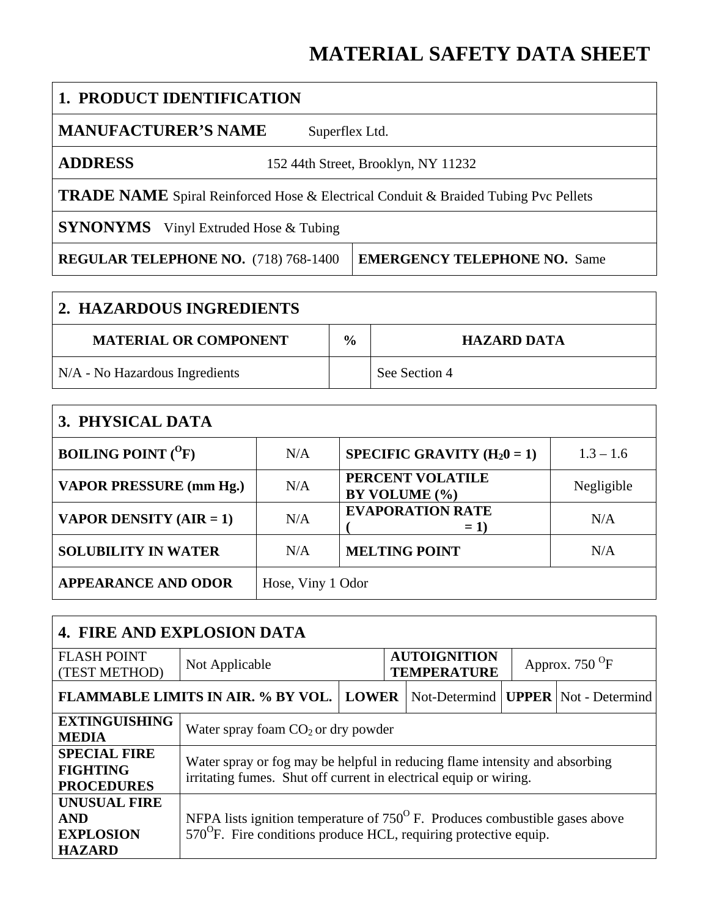# **MATERIAL SAFETY DATA SHEET**

| <b>1. PRODUCT IDENTIFICATION</b>                                                           |                                     |  |
|--------------------------------------------------------------------------------------------|-------------------------------------|--|
| <b>MANUFACTURER'S NAME</b><br>Superflex Ltd.                                               |                                     |  |
| <b>ADDRESS</b><br>152 44th Street, Brooklyn, NY 11232                                      |                                     |  |
| <b>TRADE NAME</b> Spiral Reinforced Hose & Electrical Conduit & Braided Tubing Pvc Pellets |                                     |  |
| <b>SYNONYMS</b> Vinyl Extruded Hose & Tubing                                               |                                     |  |
| <b>REGULAR TELEPHONE NO.</b> (718) 768-1400                                                | <b>EMERGENCY TELEPHONE NO. Same</b> |  |

| <b>2. HAZARDOUS INGREDIENTS</b> |               |                    |  |
|---------------------------------|---------------|--------------------|--|
| <b>MATERIAL OR COMPONENT</b>    | $\frac{0}{0}$ | <b>HAZARD DATA</b> |  |
| N/A - No Hazardous Ingredients  |               | See Section 4      |  |

| 3. PHYSICAL DATA               |                   |                                   |             |
|--------------------------------|-------------------|-----------------------------------|-------------|
| <b>BOILING POINT</b> $(^{0}F)$ | N/A               | SPECIFIC GRAVITY $(H_20 = 1)$     | $1.3 - 1.6$ |
| <b>VAPOR PRESSURE (mm Hg.)</b> | N/A               | PERCENT VOLATILE<br>BY VOLUME (%) | Negligible  |
| <b>VAPOR DENSITY (AIR = 1)</b> | N/A               | <b>EVAPORATION RATE</b><br>$= 1$  | N/A         |
| <b>SOLUBILITY IN WATER</b>     | N/A               | <b>MELTING POINT</b>              | N/A         |
| <b>APPEARANCE AND ODOR</b>     | Hose, Viny 1 Odor |                                   |             |

| <b>4. FIRE AND EXPLOSION DATA</b>                                                                                                                                                                                                           |                                                                                                                                                  |              |                                           |  |                         |                                                |
|---------------------------------------------------------------------------------------------------------------------------------------------------------------------------------------------------------------------------------------------|--------------------------------------------------------------------------------------------------------------------------------------------------|--------------|-------------------------------------------|--|-------------------------|------------------------------------------------|
| <b>FLASH POINT</b><br>(TEST METHOD)                                                                                                                                                                                                         | Not Applicable                                                                                                                                   |              | <b>AUTOIGNITION</b><br><b>TEMPERATURE</b> |  | Approx. $750^{\circ}$ F |                                                |
|                                                                                                                                                                                                                                             | <b>FLAMMABLE LIMITS IN AIR. % BY VOL.</b>                                                                                                        | <b>LOWER</b> |                                           |  |                         | Not-Determind   <b>UPPER</b>   Not - Determind |
| <b>EXTINGUISHING</b><br><b>MEDIA</b>                                                                                                                                                                                                        | Water spray foam $CO2$ or dry powder                                                                                                             |              |                                           |  |                         |                                                |
| <b>SPECIAL FIRE</b><br><b>FIGHTING</b><br><b>PROCEDURES</b>                                                                                                                                                                                 | Water spray or fog may be helpful in reducing flame intensity and absorbing<br>irritating fumes. Shut off current in electrical equip or wiring. |              |                                           |  |                         |                                                |
| <b>UNUSUAL FIRE</b><br>NFPA lists ignition temperature of $750^{\circ}$ F. Produces combustible gases above<br><b>AND</b><br>$570^{\circ}$ F. Fire conditions produce HCL, requiring protective equip.<br><b>EXPLOSION</b><br><b>HAZARD</b> |                                                                                                                                                  |              |                                           |  |                         |                                                |